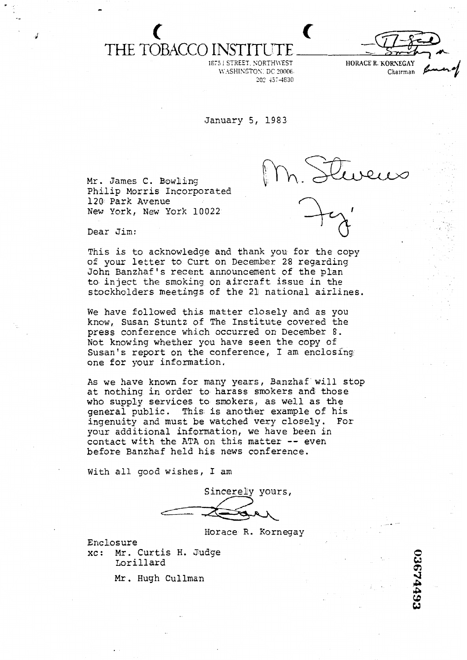## **t <sup>c</sup>** THE TOBACCO

1673 1 STREET. NORTH\\'EST WASHINGTON: DC 20006 207 43r4630



January 5, 1983

Mr. James C. Bowlling Philip Morris Incorporated 120 Park Avenue New York, New York 10022



Dear Jim:

This is to acknowledge and ehank you for **the** copy of your letter to Curt on December 28 regarding John Banzhaf **'s** recent announcement of the plan to inject the smoking on aircraft issue in the stockholders meetings of the 21 national airlines.

We have followed this matter closely and as you know, Susan Stuntz of The Institute covered the press conference which occurred on December 8. Not knowing whether you have seen the copy of Susan's report on the conference, I am enclosing one for your information.

As we have known for many years, Banzhaf will stop at nothing in order to harass smokers and those who supply services to smokers, as well as the general public. This is another example of his ingenuity and must be watched very closely. For<br>
our additional information, we have been in<br>
ontact with the ATA on this matter -- even<br>
efore Banzhaf held his news conference.<br>
(ith all good wishes, I am<br>
Sincerely yours yous additional information, we have **been** in contact with the ATA on this matter -- even before Banzhaf held his **news** conference.

With all good wishes, I am

Horace R. Kornegay

Enclosure xc: Mr. Curtis H. Judge 0 Lorillard **W** 

**1** Lorillard<br>**Mr.** Hugh Cullman

 $\frac{1}{2}$  $\mathbf{r}$  $\overline{\mathbf{z}}$  .  $\frac{1}{\alpha}$ **W**